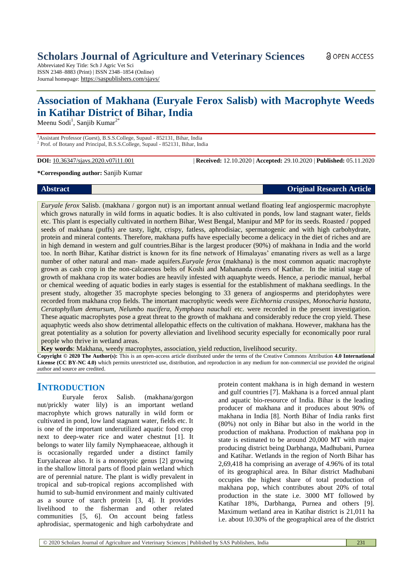Abbreviated Key Title: Sch J Agric Vet Sci ISSN 2348–8883 (Print) | ISSN 2348–1854 (Online) Journal homepage: <https://saspublishers.com/sjavs/>

# **Association of Makhana (Euryale Ferox Salisb) with Macrophyte Weeds in Katihar District of Bihar, India**

Meenu Sodi<sup>1</sup>, Sanjib Kumar<sup>2\*</sup>

<sup>1</sup>Assistant Professor (Guest), B.S.S.College, Supaul - 852131, Bihar, India <sup>2</sup> Prof. of Botany and Principal, B.S.S.College, Supaul - 852131, Bihar, India

**DOI:** 10.36347/sjavs.2020.v07i11.001 | **Received:** 12.10.2020 | **Accepted:** 29.10.2020 | **Published:** 05.11.2020

#### **\*Corresponding author:** Sanjib Kumar

**Abstract Original Research Article**

*Euryale ferox* Salisb. (makhana / gorgon nut) is an important annual wetland floating leaf angiospermic macrophyte which grows naturally in wild forms in aquatic bodies. It is also cultivated in ponds, low land stagnant water, fields etc. This plant is especially cultivated in northern Bihar, West Bengal, Manipur and MP for its seeds. Roasted / popped seeds of makhana (puffs) are tasty, light, crispy, fatless, aphrodisiac, spermatogenic and with high carbohydrate, protein and mineral contents. Therefore, makhana puffs have especially become a delicacy in the diet of riches and are in high demand in western and gulf countries.Bihar is the largest producer (90%) of makhana in India and the world too. In north Bihar, Katihar district is known for its fine network of Himalayas' emanating rivers as well as a large number of other natural and man- made aquifers.*Euryale ferox* (makhana) is the most common aquatic macrophyte grown as cash crop in the non-calcareous belts of Koshi and Mahananda rivers of Katihar. In the initial stage of growth of makhana crop its water bodies are heavily infested with aquaphyte weeds. Hence, a periodic manual, herbal or chemical weeding of aquatic bodies in early stages is essential for the establishment of makhana seedlings. In the present study, altogether 35 macrophyte species belonging to 33 genera of angiosperms and pteridophytes were recorded from makhana crop fields. The imortant macrophytic weeds were *Eichhornia crassipes, Monocharia hastata*, *Ceratophyllum demursum, Nelumbo nucifera, Nymphaea nauchali* etc. were recorded in the present investigation. These aquatic macrophytes pose a great threat to the growth of makhana and considerably reduce the crop yield. These aquaphytic weeds also show detrimental allelopathic effects on the cultivation of makhana. However, makhana has the great potentiality as a solution for poverty alleviation and livelihood security especially for economically poor rural people who thrive in wetland areas.

**Key words**: Makhana, weedy macrophytes, association, yield reduction, livelihood security.

**Copyright © 2020 The Author(s):** This is an open-access article distributed under the terms of the Creative Commons Attribution **4.0 International License (CC BY-NC 4.0)** which permits unrestricted use, distribution, and reproduction in any medium for non-commercial use provided the original author and source are credited.

## **INTRODUCTION**

Euryale ferox Salisb. (makhana/gorgon nut/prickly water lily) is an important wetland macrophyte which grows naturally in wild form or cultivated in pond, low land stagnant water, fields etc. It is one of the important underutilized aquatic food crop next to deep-water rice and water chestnut [1]. It belongs to water lily family Nymphaeaceae, although it is occasionally regarded under a distinct family Euryalaceae also. It is a monotypic genus [2] growing in the shallow littoral parts of flood plain wetland which are of perennial nature. The plant is widly prevalent in tropical and sub-tropical regions accomplished with humid to sub-humid environment and mainly cultivated as a source of starch protein [3, 4]. It provides livelihood to the fisherman and other related communities [5, 6]. On account being fatless aphrodisiac, spermatogenic and high carbohydrate and

protein content makhana is in high demand in western and gulf countries [7]. Makhana is a forced annual plant and aquatic bio-resource of India. Bihar is the leading producer of makhana and it produces about 90% of makhana in India [8]. North Bihar of India ranks first (80%) not only in Bihar but also in the world in the production of makhana. Production of makhana pop in state is estimated to be around 20,000 MT with major producing district being Darbhanga, Madhubani, Purnea and Katihar. Wetlands in the region of North Bihar has 2,69,418 ha comprising an average of 4.96% of its total of its geographical area. In Bihar district Madhubani occupies the highest share of total production of makhana pop, which contributes about 20% of total production in the state i.e. 3000 MT followed by Katihar 18%, Darbhanga, Purnea and others [9]. Maximum wetland area in Katihar district is 21,011 ha i.e. about 10.30% of the geographical area of the district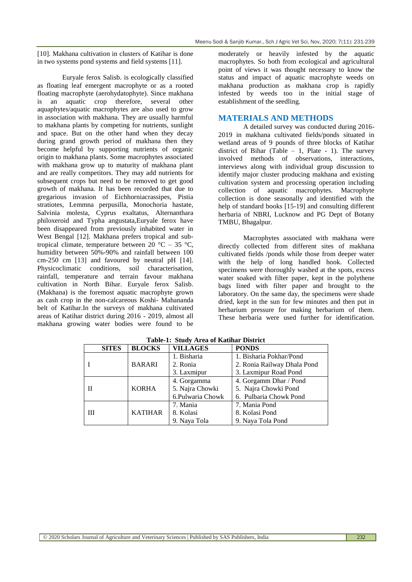[10]. Makhana cultivation in clusters of Katihar is done in two systems pond systems and field systems [11].

Euryale ferox Salisb. is ecologically classified as floating leaf emergent macrophyte or as a rooted floating macrophyte (aerohydatophyte). Since makhana is an aquatic crop therefore, several other aquaphytes/aquatic macrophytes are also used to grow in association with makhana. They are usually harmful to makhana plants by competing for nutrients, sunlight and space. But on the other hand when they decay during grand growth period of makhana then they become helpful by supporting nutrients of organic origin to makhana plants. Some macrophytes associated with makhana grow up to maturity of makhana plant and are really competitors. They may add nutrients for subsequent crops but need to be removed to get good growth of makhana. It has been recorded that due to gregarious invasion of Eichhorniacrassipes, Pistia stratiotes, Lemmna perpusilla, Monochoria hastate, Salvinia molesta, Cyprus exaltatus, Alternanthara philoxeroid and Typha angustata,Euryale ferox have been disappeared from previously inhabited water in West Bengal [12]. Makhana prefers tropical and subtropical climate, temperature between 20  $^{\circ}$ C – 35  $^{\circ}$ C, humidity between 50%-90% and rainfall between 100 cm-250 cm [13] and favoured by neutral pH [14]. Physicoclimatic conditions, soil characterisation, rainfall, temperature and terrain favour makhana cultivation in North Bihar. Euryale ferox Salisb. (Makhana) is the foremost aquatic macrophyte grown as cash crop in the non-calcareous Koshi- Mahananda belt of Katihar.In the surveys of makhana cultivated areas of Katihar district during 2016 - 2019, almost all makhana growing water bodies were found to be

moderately or heavily infested by the aquatic macrophytes. So both from ecological and agricultural point of views it was thought necessary to know the status and impact of aquatic macrophyte weeds on makhana production as makhana crop is rapidly infested by weeds too in the initial stage of establishment of the seedling.

### **MATERIALS AND METHODS**

A detailed survey was conducted during 2016- 2019 in makhana cultivated fields/ponds situated in wetland areas of 9 pounds of three blocks of Katihar district of Bihar (Table  $-1$ , Plate  $-1$ ). The survey involved methods of observations, interactions, interviews along with individual group discussion to identify major cluster producing makhana and existing cultivation system and processing operation including collection of aquatic macrophytes. Macrophyte collection is done seasonally and identified with the help of standard books [15-19] and consulting different herbaria of NBRI, Lucknow and PG Dept of Botany TMBU, Bhagalpur.

Macrophytes associated with makhana were directly collected from different sites of makhana cultivated fields /ponds while those from deeper water with the help of long handled hook. Collected specimens were thoroughly washed at the spots, excess water soaked with filter paper, kept in the polythene bags lined with filter paper and brought to the laboratory. On the same day, the specimens were shade dried, kept in the sun for few minutes and then put in herbarium pressure for making herbarium of them. These herbaria were used further for identification.

|        | <b>SITES</b> | <b>BLOCKS</b>  | <b>VILLAGES</b>  | <b>PONDS</b>                |  |  |  |  |
|--------|--------------|----------------|------------------|-----------------------------|--|--|--|--|
|        |              |                | 1. Bisharia      | 1. Bisharia Pokhar/Pond     |  |  |  |  |
| Л<br>Ш |              | <b>BARARI</b>  | 2. Ronia         | 2. Ronia Railway Dhala Pond |  |  |  |  |
|        |              |                | 3. Laxmipur      | 3. Laxmipur Road Pond       |  |  |  |  |
|        |              |                | 4. Gorgamma      | 4. Gorgamm Dhar / Pond      |  |  |  |  |
|        |              | <b>KORHA</b>   | 5. Najra Chowki  | 5. Najra Chowki Pond        |  |  |  |  |
|        |              |                | 6.Pulwaria Chowk | 6. Pulbaria Chowk Pond      |  |  |  |  |
|        |              |                | 7. Mania         | 7. Mania Pond               |  |  |  |  |
|        |              | <b>KATIHAR</b> | 8. Kolasi        | 8. Kolasi Pond              |  |  |  |  |
|        |              |                | 9. Naya Tola     | 9. Naya Tola Pond           |  |  |  |  |

**Table-1: Study Area of Katihar District**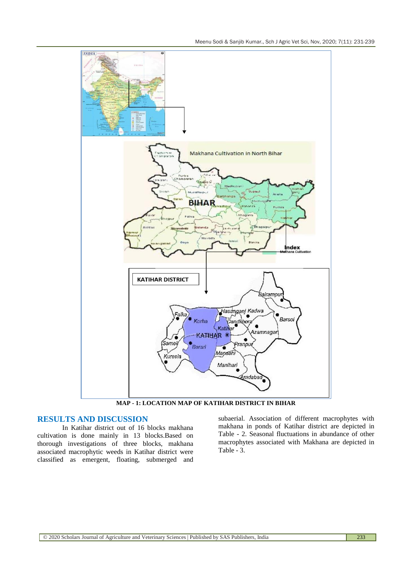

**MAP - 1: LOCATION MAP OF KATIHAR DISTRICT IN BIHAR**

#### **RESULTS AND DISCUSSION**

In Katihar district out of 16 blocks makhana cultivation is done mainly in 13 blocks.Based on thorough investigations of three blocks, makhana associated macrophytic weeds in Katihar district were classified as emergent, floating, submerged and

subaerial. Association of different macrophytes with makhana in ponds of Katihar district are depicted in Table - 2. Seasonal fluctuations in abundance of other macrophytes associated with Makhana are depicted in Table - 3.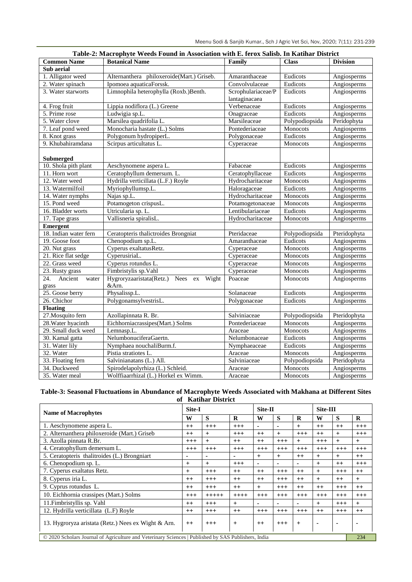|                         | Table-2: Macrophyle Weeds Found in Association with E. Terux Sansb. In Kathlaf District |                          |                 |                 |
|-------------------------|-----------------------------------------------------------------------------------------|--------------------------|-----------------|-----------------|
| <b>Common Name</b>      | <b>Botanical Name</b>                                                                   | Family                   | <b>Class</b>    | <b>Division</b> |
| Sub aerial              |                                                                                         |                          |                 |                 |
| 1. Alligator weed       | AIternanthera philoxeroide(Mart.) Griseb.                                               | Amaranthaceae            | Eudicots        | Angiosperms     |
| 2. Water spinach        | Ipomoea aquaticaForssk.                                                                 | Convolvulaceae           | Eudicots        | Angiosperms     |
| 3. Water starworts      | Limnophila heterophylla (Roxb.)Benth.                                                   | Scrophulariaceae/P       | Eudicots        | Angiosperms     |
|                         |                                                                                         | lantaginacaea            |                 |                 |
| 4. Frog fruit           | Lippia nodiflora (L.) Greene                                                            | Verbenaceae              | Eudicots        | Angiosperms     |
| 5. Prime rose           | Ludwigia sp.L.                                                                          | Onagraceae               | Eudicots        | Angiosperms     |
| 5. Water clove          | Marsilea quadrifolia L.                                                                 | Marsileaceae             | Polypodiopsida  | Peridophyta     |
| 7. Leaf pond weed       | Monocharia hastate (L.) Solms                                                           | Pontederiaceae           | <b>Monocots</b> | Angiosperms     |
| 8. Knot grass           | Polygonum hydropiperL.                                                                  | Polygonaceae             | Eudicots        | Angiosperms     |
| 9. Khubahiramdana       | Scirpus articultatus L.                                                                 | Cyperaceae               | Monocots        | Angiosperms     |
|                         |                                                                                         |                          |                 |                 |
| <b>Submerged</b>        |                                                                                         |                          |                 |                 |
| 10. Shola pith plant    | Aeschynomene aspera L.                                                                  | Fabaceae                 | Eudicots        | Angiosperms     |
| 11. Horn wort           | Ceratophyllum demersum. L.                                                              | Ceratophyllaceae         | Eudicots        | Angiosperms     |
| 12. Water weed          | Hydrilla verticillata (L.F.) Royle                                                      | Hydrocharitaceae         | Monocots        | Angiosperms     |
| 13. Watermilfoil        | Myriophyllumsp.L.                                                                       | Haloragaceae             | Eudicots        | Angiosperms     |
| 14. Water nymphs        | Najas sp.L.                                                                             | Hydrocharitaceae         | Monocots        | Angiosperms     |
| 15. Pond weed           | Potamogeton crispusL.                                                                   | Potamogetonaceae         | Monocots        | Angiosperms     |
| 16. Bladder worts       | Utricularia sp. L.                                                                      | Lentibulariaceae         | Eudicots        | Angiosperms     |
| 17. Tape grass          | Vallisneria spiralisL.                                                                  | Hydrocharitaceae         | Monocots        | Angiosperms     |
| <b>Emergent</b>         |                                                                                         |                          |                 |                 |
| 18. Indian water fern   | Ceratopteris thalictroides Brongniat                                                    | Pteridaceae              | Polypodiopsida  | Pteridophyta    |
| 19. Goose foot          | Chenopodium sp.L.                                                                       | Amaranthaceae            | Eudicots        | Angiosperms     |
| 20. Nut grass           | Cyperus exaltatusRetz.                                                                  | $\overline{Cy}$ peraceae | Monocots        | Angiosperms     |
| 21. Rice flat sedge     | CyperusiriaL.                                                                           | Cyperaceae               | Monocots        | Angiosperms     |
| 22. Grass weed          | Cyperus rotundus L.                                                                     | Cyperaceae               | Monocots        | Angiosperms     |
| 23. Rusty grass         | Fimbristylis sp.Vahl                                                                    | Cyperaceae               | Monocots        | Angiosperms     |
| 24.<br>Ancient<br>water | Hygroryzaaristata(Retz.) Nees ex<br>Wight                                               | Poaceae                  | <b>Monocots</b> | Angiosperms     |
| grass                   | &Arn.                                                                                   |                          |                 |                 |
| 25. Goose berry         | Physalissp.L.                                                                           | Solanaceae               | Eudicots        | Angiosperms     |
| 26. Chichor             | PolygonamsylvestrisL.                                                                   | Polygonaceae             | Eudicots        | Angiosperms     |
| <b>Floating</b>         |                                                                                         |                          |                 |                 |
| 27. Mosquito fern       | Azollapinnata R. Br.                                                                    | Salviniaceae             | Polypodiopsida  | Pteridophyta    |
| 28. Water hyacinth      | Eichhorniacrassipes(Mart.) Solms                                                        | Pontederiaceae           | Monocots        | Angiosperms     |
| 29. Small duck weed     | Lemnasp.L.                                                                              | Araceae                  | Monocots        | Angiosperms     |
| 30. Kamal gatta         | NelumbonuciferaGaertn.                                                                  | Nelumbonaceae            | Eudicots        | Angiosperms     |
| 31. Water lily          | Nymphaea nouchaliBurm.f.                                                                | Nymphaeaceae             | Eudicots        | Angiosperms     |
| 32. Water               | Pistia stratiotes L.                                                                    | Araceae                  | Monocots        | Angiosperms     |
| 33. Floating fern       | Salvinianatans (L.) All.                                                                | Salviniaceae             | Polypodiopsida  | Pteridophyta    |
| 34. Duckweed            | Spirodelapolyrhiza (L.) Schleid.                                                        | Araceae                  | Monocots        | Angiosperms     |
| 35. Water meal          | Wolffiaarrhizal (L.) Horkel ex Wimm.                                                    | Araceae                  | <b>Monocots</b> | Angiosperms     |

#### **Table-3: Seasonal Fluctuations in Abundance of Macrophyte Weeds Associated with Makhana at Different Sites of Katihar District**

| <b>Name of Macrophytes</b>                                                                                 |          | Site-I   |         |                | Site-II        |                |          | Site-III       |           |  |
|------------------------------------------------------------------------------------------------------------|----------|----------|---------|----------------|----------------|----------------|----------|----------------|-----------|--|
|                                                                                                            |          | S        | R       | W              | S              | R              | W        | S              | R         |  |
| 1. Aeschynomene aspera L.                                                                                  |          | $+++$    | $+++$   | ٠              |                | $\overline{+}$ | $++$     | $++$           | $+++$     |  |
| 2. AIternanthera philoxeroide (Mart.) Griseb                                                               |          | $+$      | $+++$   | $++$           | $^{+}$         | $+++$          | $++$     | $+$            | $+++$     |  |
| 3. Azolla pinnata R.Br.                                                                                    |          | $+$      | $++$    | $++$           | $^{+++}$       | $+$            | $+++$    | $+$            | $^{+}$    |  |
| 4. Ceratophyllum demersum L.                                                                               |          | $^{+++}$ | $+++$   | $+++$          | $+++$          | $+++$          | $+++$    | $+++$          | $+++$     |  |
| 5. Ceratopteris thalitroides (L.) Brongniart                                                               |          |          |         | $+$            | $^{+}$         | $++$           | $^{+}$   | $+$            | $++$      |  |
| 6. Chenopodium sp. L.                                                                                      |          | $+$      | $+++$   | $\blacksquare$ | $\blacksquare$ | ٠              | $^{+}$   | $^{++}$        | $+++$     |  |
| 7. Cyperus exaltatus Retz.                                                                                 |          | $^{+++}$ | $++$    | $++$           | $+++$          | $++$           | $+$      | $^{+++}$       | $++$      |  |
| 8. Cyperus iria L.                                                                                         |          | $^{+++}$ | $++$    | $++$           | $+++$          | $++$           | $+$      | $++$           | $\ddot{}$ |  |
| 9. Cyprus rotundus L.                                                                                      |          | $+++$    | $++$    | $+$            | $+++$          | $++$           | $++$     | $^{+++}$       | $++$      |  |
| 10. Eichhornia crassipes (Mart.) Solms                                                                     | $^{+++}$ | $+++++$  | $+++++$ | $+++$          | $^{+++}$       | $^{+++}$       | $^{+++}$ | $^{+++}$       | $+++$     |  |
| 11. Fimbristyllis sp. Vahl                                                                                 |          | $+++$    | $+$     | $\sim$         | ۰              | $\blacksquare$ | $+$      | $+++$          | $+$       |  |
| 12. Hydrilla verticillata (L.F) Royle                                                                      |          | $+++$    | $++$    | $^{+++}$       | $^{+++}$       | $+++$          | $++$     | $^{+++}$       | $^{++}$   |  |
| 13. Hygroryza aristata (Retz.) Nees ex Wight & Arn.                                                        |          | $+++$    | $+$     | $++$           | $+++$          | $+$            | ٠        | $\blacksquare$ | ۰         |  |
| © 2020 Scholars Journal of Agriculture and Veterinary Sciences   Published by SAS Publishers, India<br>234 |          |          |         |                |                |                |          |                |           |  |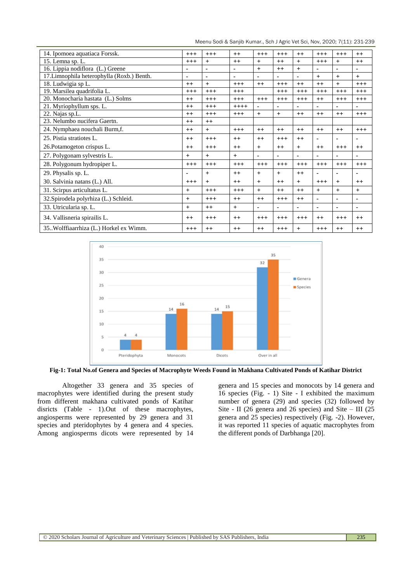Meenu Sodi & Sanjib Kumar., Sch J Agric Vet Sci, Nov, 2020; 7(11): 231-239

| 14. Ipomoea aquatiaca Forssk.              |       | $+++$          | $++$           | $+++$          | $+++$          | $++$      | $+++$          | $+++$          | $++$           |
|--------------------------------------------|-------|----------------|----------------|----------------|----------------|-----------|----------------|----------------|----------------|
| 15. Lemna sp. L.                           |       | $+$            | $++$           | $+$            | $++$           | $+$       | $+++$          | $+$            | $++$           |
| 16. Lippia nodiflora (L.) Greene           |       | ۰              | $\blacksquare$ | $+$            | $^{++}$        | $+$       | $\blacksquare$ | $\blacksquare$ | ۰              |
| 17. Limnophila heterophylla (Roxb.) Benth. |       | $\blacksquare$ | $\sim$         |                | ٠              | ÷         | $+$            | $+$            | $+$            |
| 18. Ludwigia sp L.                         |       | $+$            | $+++$          | $++$           | $+++$          | $++$      | $++$           | $+$            | $+++$          |
| 19. Marsilea quadrifolia L.                | $+++$ | $+++$          | $+++$          |                | $+++$          | $+++$     | $+++$          | $+++$          | $+++$          |
| 20. Monocharia hastata (L.) Solms          | $++$  | $+++$          | $+++$          | $+++$          | $+++$          | $+++$     | $++$           | $+++$          | $+++$          |
| 21. Myriophyllum sps. L.                   | $++$  | $+++$          | $++++$         |                | $\blacksquare$ |           | $\blacksquare$ | $\blacksquare$ | ۰              |
| 22. Najas sp.L.                            |       | $^{+++}$       | $^{+++}$       | $+$            | $+$            | $++$      | $++$           | $++$           | $^{+++}$       |
| 23. Nelumbo nucifera Gaertn.               | $++$  | $++$           |                |                |                |           |                |                |                |
| 24. Nymphaea nouchali Burm, f.             | $++$  | $+$            | $+++$          | $^{++}$        | $++$           | $^{++}$   | $^{++}$        | $++$           | $+++$          |
| 25. Pistia stratiotes L.                   |       | $+++$          | $^{++}$        | $^{++}$        | $+++$          | $^{++}$   | ٠              |                |                |
| 26. Potamogeton crispus L.                 |       | $+++$          | $++$           | $+$            | $^{++}$        | $+$       | $^{++}$        | $+++$          | $++$           |
| 27. Polygonam sylvestris L.                |       | $+$            | $+$            | $\blacksquare$ | $\blacksquare$ | ÷         | $\blacksquare$ | ٠              | ۰              |
| 28. Polygonum hydropiper L.                | $+++$ | $+++$          | $+++$          | $+++$          | $+++$          | $+++$     | $+++$          | $+++$          | $+++$          |
| 29. Physalis sp. L.                        | ۰     | $+$            | $++$           | $+$            | $+$            | $++$      | $\blacksquare$ | $\blacksquare$ |                |
| 30. Salvinia natans (L.) All.              |       | $+$            | $^{++}$        | $+$            | $++$           | $+$       | $+++$          | $+$            | $^{++}$        |
| 31. Scirpus articultatus L.                |       | $+++$          | $+++$          | $+$            | $++$           | $++$      | $+$            | $+$            | $^{+}$         |
| 32. Spirodela polyrhiza (L.) Schleid.      |       | $+++$          | $++$           | $++$           | $+++$          | $++$      | $\blacksquare$ | ٠              | ۰              |
| 33. Utricularia sp. L.                     |       | $++$           | $+$            | $\blacksquare$ | $\blacksquare$ | ä,        | $\blacksquare$ | ÷.             | $\blacksquare$ |
| 34. Vallisneria spirailis L.               | $++$  | $+++$          | $++$           | $+++$          | $+++$          | $+++$     | $^{++}$        | $+++$          | $++$           |
| 35. Wolffiaarrhiza (L.) Horkel ex Wimm.    |       | $++$           | $++$           | $++$           | $+++$          | $\ddot{}$ | $+++$          | $++$           | $++$           |



**Fig-1: Total No.of Genera and Species of Macrophyte Weeds Found in Makhana Cultivated Ponds of Katihar District**

Altogether 33 genera and 35 species of macrophytes were identified during the present study from different makhana cultivated ponds of Katihar disricts (Table - 1).Out of these macrophytes, angiosperms were represented by 29 genera and 31 species and pteridophytes by 4 genera and 4 species. Among angiosperms dicots were represented by 14

genera and 15 species and monocots by 14 genera and 16 species (Fig. - 1) Site - I exhibited the maximum number of genera (29) and species (32) followed by Site - II (26 genera and 26 species) and Site – III (25 genera and 25 species) respectively (Fig. -2). However, it was reported 11 species of aquatic macrophytes from the different ponds of Darbhanga [20].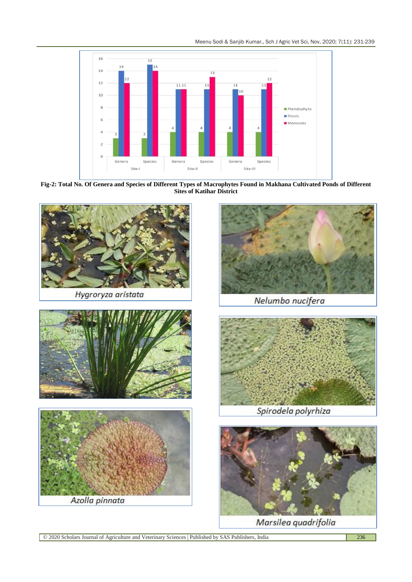Meenu Sodi & Sanjib Kumar., Sch J Agric Vet Sci, Nov, 2020; 7(11): 231-239



**Fig-2: Total No. Of Genera and Species of Different Types of Macrophytes Found in Makhana Cultivated Ponds of Different Sites of Katihar District**



Marsilea quadrifolia

© 2020 Scholars Journal of Agriculture and Veterinary Sciences | Published by SAS Publishers, India 236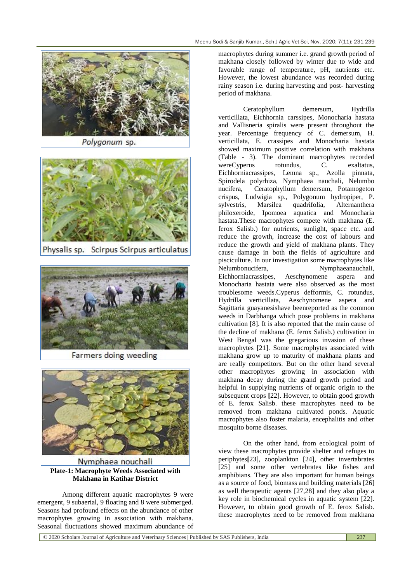

Polygonum sp.



Physalis sp. Scirpus Scirpus articulatus



Farmers doing weeding



Nymphaea nouchali **Plate-1: Macrophyte Weeds Associated with Makhana in Katihar District**

Among different aquatic macrophytes 9 were emergent, 9 subaerial, 9 floating and 8 were submerged. Seasons had profound effects on the abundance of other macrophytes growing in association with makhana. Seasonal fluctuations showed maximum abundance of

macrophytes during summer i.e. grand growth period of makhana closely followed by winter due to wide and favorable range of temperature, pH, nutrients etc. However, the lowest abundance was recorded during rainy season i.e. during harvesting and post- harvesting period of makhana.

Ceratophyllum demersum, Hydrilla verticillata, Eichhornia carssipes, Monocharia hastata and Vallisneria spiralis were present throughout the year. Percentage frequency of C. demersum, H. verticillata, E. crassipes and Monocharia hastata showed maximum positive correlation with makhana (Table - 3). The dominant macrophytes recorded wereCyperus rotundus, C. exaltatus, Eichhorniacrassipes, Lemna sp., Azolla pinnata, Spirodela polyrhiza, Nymphaea nauchali, Nelumbo nucifera, Ceratophyllum demersum, Potamogeton crispus, Ludwigia sp., Polygonum hydropiper, P. sylvestris, Marsilea quadrifolia, Alternanthera philoxeroide, Ipomoea aquatica and Monocharia hastata.These macrophytes compete with makhana (E. ferox Salisb.) for nutrients, sunlight, space etc. and reduce the growth, increase the cost of labours and reduce the growth and yield of makhana plants. They cause damage in both the fields of agriculture and pisciculture. In our investigation some macrophytes like Nelumbonucifera, Nymphaeanauchali, Eichhorniacrassipes, Aeschynomene aspera and Monocharia hastata were also observed as the most troublesome weeds.Cyperus defformis, C. rotundus, Hydrilla verticillata, Aeschynomene aspera and Sagittaria guayanesishave beenreported as the common weeds in Darbhanga which pose problems in makhana cultivation [8]. It is also reported that the main cause of the decline of makhana (E. ferox Salisb.) cultivation in West Bengal was the gregarious invasion of these macrophytes [21]. Some macrophytes associated with makhana grow up to maturity of makhana plants and are really competitors. But on the other hand several other macrophytes growing in association with makhana decay during the grand growth period and helpful in supplying nutrients of organic origin to the subsequent crops **[**22]. However, to obtain good growth of E. ferox Salisb. these macrophytes need to be removed from makhana cultivated ponds. Aquatic macrophytes also foster malaria, encephalitis and other mosquito borne diseases.

On the other hand, from ecological point of view these macrophytes provide shelter and refuges to periphytes**[**23], zooplankton [24], other invertabrates [25] and some other vertebrates like fishes and amphibians. They are also important for human beings as a source of food, biomass and building materials [26] as well therapeutic agents [27,28] and they also play a key role in biochemical cycles in aquatic system [22]. However, to obtain good growth of E. ferox Salisb. these macrophytes need to be removed from makhana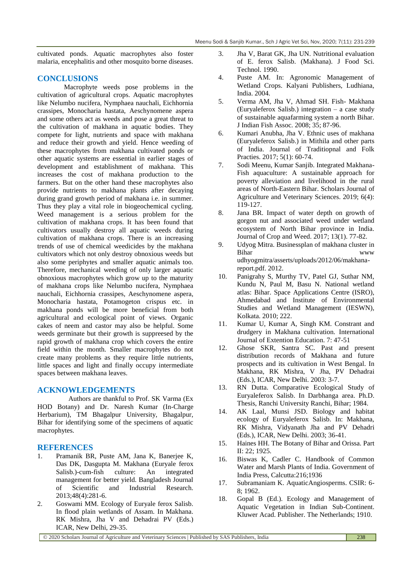cultivated ponds. Aquatic macrophytes also foster malaria, encephalitis and other mosquito borne diseases.

### **CONCLUSIONS**

Macrophyte weeds pose problems in the cultivation of agricultural crops. Aquatic macrophytes like Nelumbo nucifera, Nymphaea nauchali, Eichhornia crassipes, Monocharia hastata, Aeschynomene aspera and some others act as weeds and pose a great threat to the cultivation of makhana in aquatic bodies. They compete for light, nutrients and space with makhana and reduce their growth and yield. Hence weeding of these macrophytes from makhana cultivated ponds or other aquatic systems are essential in earlier stages of development and establishment of makhana. This increases the cost of makhana production to the farmers. But on the other hand these macrophytes also provide nutrients to makhana plants after decaying during grand growth period of makhana i.e. in summer. Thus they play a vital role in biogeochemical cycling. Weed management is a serious problem for the cultivation of makhana crops. It has been found that cultivators usually destroy all aquatic weeds during cultivation of makhana crops. There is an increasing trends of use of chemical weedicides by the makhana cultivators which not only destroy obnoxious weeds but also some periphytes and smaller aquatic animals too. Therefore, mechanical weeding of only larger aquatic obnoxious macrophytes which grow up to the maturity of makhana crops like Nelumbo nucifera, Nymphaea nauchali, Eichhornia crassipes, Aeschynomene aspera, Monocharia hastata, Potamogeton crispus etc. in makhana ponds will be more beneficial from both agricultural and ecological point of views. Organic cakes of neem and castor may also be helpful. Some weeds germinate but their growth is suppreesed by the rapid growth of makhana crop which covers the entire field within the month. Smaller macrophytes do not create many problems as they require little nutrients, little spaces and light and finally occupy intermediate spaces between makhana leaves.

#### **ACKNOWLEDGEMENTS**

Authors are thankful to Prof. SK Varma (Ex HOD Botany) and Dr. Naresh Kumar (In-Charge Herbarium), TM Bhagalpur University, Bhagalpur, Bihar for identifying some of the specimens of aquatic macrophytes.

#### **REFERENCES**

- 1. Pramanik BR, Puste AM, Jana K, Banerjee K, Das DK, Dasgupta M. Makhana (Euryale ferox Salisb.)-cum-fish culture: An integrated management for better yield. Bangladesh Journal of Scientific and Industrial Research. 2013;48(4):281-6.
- 2. Goswami MM. Ecology of Euryale ferox Salisb. In flood plain wetlands of Assam. In Makhana. RK Mishra, Jha V and Dehadrai PV (Eds.) ICAR, New Delhi, 29-35.
- 3. Jha V, Barat GK, Jha UN. Nutritional evaluation of E. ferox Salisb. (Makhana). J Food Sci. Technol. 1990.
- 4. Puste AM. In: Agronomic Management of Wetland Crops. Kalyani Publishers, Ludhiana, India. 2004.
- 5. Verma AM, Jha V, Ahmad SH. Fish- Makhana (Euryaleferox Salisb.) integration – a case study of sustainable aquafarming system a north Bihar. J Indian Fish Assoc. 2008; 35; 87-96.
- 6. Kumari Anubha, Jha V. Ethnic uses of makhana (Euryaleferox Salisb.) in Mithila and other parts of India. Journal of Traditiopnal and Folk Practies. 2017; 5(1): 60-74.
- 7. Sodi Meenu, Kumar Sanjib. Integrated Makhana-Fish aquaculture: A sustainable approach for poverty alleviation and livelihood in the rural areas of North-Eastern Bihar. Scholars Journal of Agriculture and Veterinary Sciences. 2019; 6(4): 119-127.
- 8. Jana BR. Impact of water depth on growth of gorgon nut and associated weed under wetland ecosystem of North Bihar province in India. Journal of Crop and Weed. 2017; 13(1). 77-82.
- 9. Udyog Mitra. Businessplan of makhana cluster in Bihar www. udhyogmitra/asserts/uploads/2012/06/makhanareport.pdf. 2012.
- 10. Panigrahy S, Murthy TV, Patel GJ, Suthar NM, Kundu N, Paul M, Basu N. National wetland atlas: Bihar. Space Applications Centre (ISRO), Ahmedabad and Institute of Environmental Studies and Wetland Management (IESWN), Kolkata. 2010; 222.
- 11. Kumar U, Kumar A, Singh KM. Constrant and drudgery in Makhana cultivation. International Journal of Extention Education. 7: 47-51
- 12. Ghose SKR, Santra SC. Past and present distribution records of Makhana and future prospects and its cultivation in West Bengal. In Makhana, RK Mishra, V Jha, PV Dehadrai (Eds.), ICAR, New Delhi. 2003: 3-7.
- 13. RN Dutta. Comparative Ecological Study of Euryaleferox Salisb. In Darbhanga area. Ph.D. Thesis, Ranchi University Ranchi, Bihar; 1984.
- 14. AK Laal, Munsi JSD. Biology and habitat ecology of Euryaleferox Salisb. In: Makhana, RK Mishra, Vidyanath Jha and PV Dehadri (Eds.), ICAR, New Delhi. 2003; 36-41.
- 15. Haines HH. The Botany of Bihar and Orissa. Part II: 22; 1925.
- 16. Biswas K, Cadler C. Handbook of Common Water and Marsh Plants of India. Government of India Press, Calcutta:216;1936
- 17. Subramaniam K. AquaticAngiosperms. CSIR: 6- 8; 1962.
- 18. Gopal B (Ed.). Ecology and Management of Aquatic Vegetation in Indian Sub-Continent. Kluwer Acad. Publisher. The Netherlands; 1910.

© 2020 Scholars Journal of Agriculture and Veterinary Sciences | Published by SAS Publishers, India 238